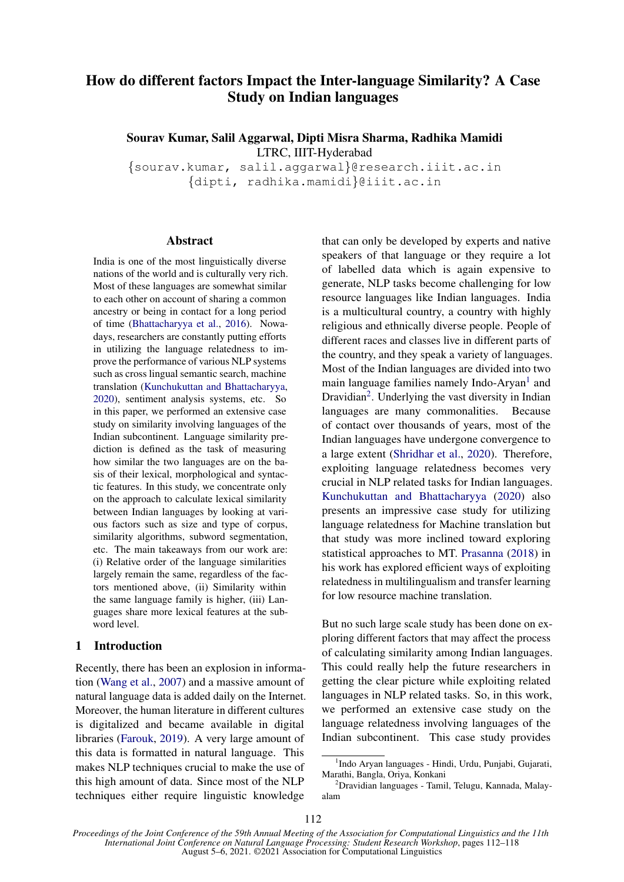# How do different factors Impact the Inter-language Similarity? A Case Study on Indian languages

Sourav Kumar, Salil Aggarwal, Dipti Misra Sharma, Radhika Mamidi LTRC, IIIT-Hyderabad

{sourav.kumar, salil.aggarwal}@research.iiit.ac.in {dipti, radhika.mamidi}@iiit.ac.in

## Abstract

India is one of the most linguistically diverse nations of the world and is culturally very rich. Most of these languages are somewhat similar to each other on account of sharing a common ancestry or being in contact for a long period of time [\(Bhattacharyya et al.,](#page-6-0) [2016\)](#page-6-0). Nowadays, researchers are constantly putting efforts in utilizing the language relatedness to improve the performance of various NLP systems such as cross lingual semantic search, machine translation [\(Kunchukuttan and Bhattacharyya,](#page-6-1) [2020\)](#page-6-1), sentiment analysis systems, etc. So in this paper, we performed an extensive case study on similarity involving languages of the Indian subcontinent. Language similarity prediction is defined as the task of measuring how similar the two languages are on the basis of their lexical, morphological and syntactic features. In this study, we concentrate only on the approach to calculate lexical similarity between Indian languages by looking at various factors such as size and type of corpus, similarity algorithms, subword segmentation, etc. The main takeaways from our work are: (i) Relative order of the language similarities largely remain the same, regardless of the factors mentioned above, (ii) Similarity within the same language family is higher, (iii) Languages share more lexical features at the subword level.

# 1 Introduction

Recently, there has been an explosion in information [\(Wang et al.,](#page-6-2) [2007\)](#page-6-2) and a massive amount of natural language data is added daily on the Internet. Moreover, the human literature in different cultures is digitalized and became available in digital libraries [\(Farouk,](#page-6-3) [2019\)](#page-6-3). A very large amount of this data is formatted in natural language. This makes NLP techniques crucial to make the use of this high amount of data. Since most of the NLP techniques either require linguistic knowledge

that can only be developed by experts and native speakers of that language or they require a lot of labelled data which is again expensive to generate, NLP tasks become challenging for low resource languages like Indian languages. India is a multicultural country, a country with highly religious and ethnically diverse people. People of different races and classes live in different parts of the country, and they speak a variety of languages. Most of the Indian languages are divided into two main language families namely Indo-Aryan<sup>[1](#page-0-0)</sup> and Dravidian<sup>[2](#page-0-1)</sup>. Underlying the vast diversity in Indian languages are many commonalities. Because of contact over thousands of years, most of the Indian languages have undergone convergence to a large extent [\(Shridhar et al.,](#page-6-4) [2020\)](#page-6-4). Therefore, exploiting language relatedness becomes very crucial in NLP related tasks for Indian languages. [Kunchukuttan and Bhattacharyya](#page-6-1) [\(2020\)](#page-6-1) also presents an impressive case study for utilizing language relatedness for Machine translation but that study was more inclined toward exploring statistical approaches to MT. [Prasanna](#page-6-5) [\(2018\)](#page-6-5) in his work has explored efficient ways of exploiting relatedness in multilingualism and transfer learning for low resource machine translation.

But no such large scale study has been done on exploring different factors that may affect the process of calculating similarity among Indian languages. This could really help the future researchers in getting the clear picture while exploiting related languages in NLP related tasks. So, in this work, we performed an extensive case study on the language relatedness involving languages of the Indian subcontinent. This case study provides

<span id="page-0-0"></span><sup>&</sup>lt;sup>1</sup>Indo Aryan languages - Hindi, Urdu, Punjabi, Gujarati, Marathi, Bangla, Oriya, Konkani

<span id="page-0-1"></span> $2$ Dravidian languages - Tamil, Telugu, Kannada, Malayalam

*Proceedings of the Joint Conference of the 59th Annual Meeting of the Association for Computational Linguistics and the 11th International Joint Conference on Natural Language Processing: Student Research Workshop*, pages 112–118 August 5–6, 2021. ©2021 Association for Computational Linguistics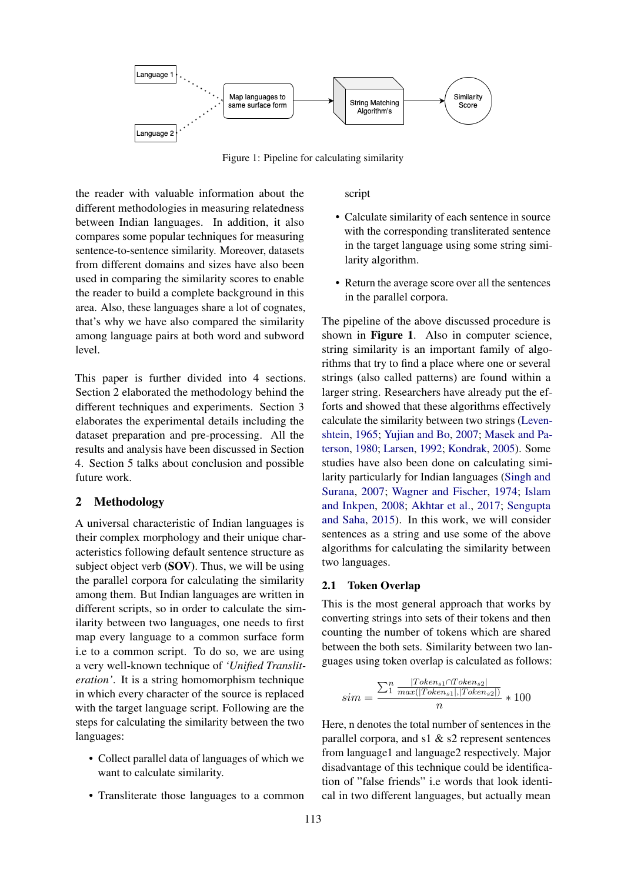

Figure 1: Pipeline for calculating similarity

the reader with valuable information about the different methodologies in measuring relatedness between Indian languages. In addition, it also compares some popular techniques for measuring sentence-to-sentence similarity. Moreover, datasets from different domains and sizes have also been used in comparing the similarity scores to enable the reader to build a complete background in this area. Also, these languages share a lot of cognates, that's why we have also compared the similarity among language pairs at both word and subword level.

This paper is further divided into 4 sections. Section 2 elaborated the methodology behind the different techniques and experiments. Section 3 elaborates the experimental details including the dataset preparation and pre-processing. All the results and analysis have been discussed in Section 4. Section 5 talks about conclusion and possible future work.

# 2 Methodology

A universal characteristic of Indian languages is their complex morphology and their unique characteristics following default sentence structure as subject object verb (SOV). Thus, we will be using the parallel corpora for calculating the similarity among them. But Indian languages are written in different scripts, so in order to calculate the similarity between two languages, one needs to first map every language to a common surface form i.e to a common script. To do so, we are using a very well-known technique of *'Unified Transliteration'*. It is a string homomorphism technique in which every character of the source is replaced with the target language script. Following are the steps for calculating the similarity between the two languages:

- Collect parallel data of languages of which we want to calculate similarity.
- Transliterate those languages to a common

script

- Calculate similarity of each sentence in source with the corresponding transliterated sentence in the target language using some string similarity algorithm.
- Return the average score over all the sentences in the parallel corpora.

The pipeline of the above discussed procedure is shown in **Figure 1**. Also in computer science, string similarity is an important family of algorithms that try to find a place where one or several strings (also called patterns) are found within a larger string. Researchers have already put the efforts and showed that these algorithms effectively calculate the similarity between two strings [\(Leven](#page-6-6)[shtein,](#page-6-6) [1965;](#page-6-6) [Yujian and Bo,](#page-6-7) [2007;](#page-6-7) [Masek and Pa](#page-6-8)[terson,](#page-6-8) [1980;](#page-6-8) [Larsen,](#page-6-9) [1992;](#page-6-9) [Kondrak,](#page-6-10) [2005\)](#page-6-10). Some studies have also been done on calculating similarity particularly for Indian languages [\(Singh and](#page-6-11) [Surana,](#page-6-11) [2007;](#page-6-11) [Wagner and Fischer,](#page-6-12) [1974;](#page-6-12) [Islam](#page-6-13) [and Inkpen,](#page-6-13) [2008;](#page-6-13) [Akhtar et al.,](#page-6-14) [2017;](#page-6-14) [Sengupta](#page-6-15) [and Saha,](#page-6-15) [2015\)](#page-6-15). In this work, we will consider sentences as a string and use some of the above algorithms for calculating the similarity between two languages.

# 2.1 Token Overlap

This is the most general approach that works by converting strings into sets of their tokens and then counting the number of tokens which are shared between the both sets. Similarity between two languages using token overlap is calculated as follows:

$$
sim = \frac{\sum_{1}^{n} \frac{|Token_{s1} \cap token_{s2}|}{max(|Token_{s1}|, |Token_{s2}|)}}{n} * 100
$$

Here, n denotes the total number of sentences in the parallel corpora, and  $s1 & s2$  represent sentences from language1 and language2 respectively. Major disadvantage of this technique could be identification of "false friends" i.e words that look identical in two different languages, but actually mean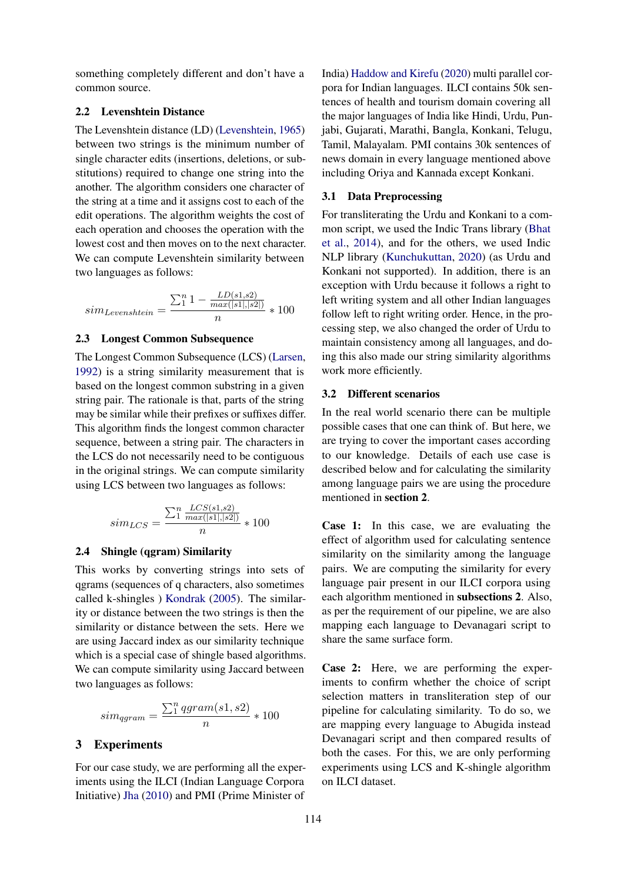something completely different and don't have a common source.

## 2.2 Levenshtein Distance

The Levenshtein distance (LD) [\(Levenshtein,](#page-6-6) [1965\)](#page-6-6) between two strings is the minimum number of single character edits (insertions, deletions, or substitutions) required to change one string into the another. The algorithm considers one character of the string at a time and it assigns cost to each of the edit operations. The algorithm weights the cost of each operation and chooses the operation with the lowest cost and then moves on to the next character. We can compute Levenshtein similarity between two languages as follows:

$$
sim_{Levenshtein} = \frac{\sum_{1}^{n} 1 - \frac{LD(s1, s2)}{max(|s1|, |s2|)}}{n} * 100
$$

# 2.3 Longest Common Subsequence

The Longest Common Subsequence (LCS) [\(Larsen,](#page-6-9) [1992\)](#page-6-9) is a string similarity measurement that is based on the longest common substring in a given string pair. The rationale is that, parts of the string may be similar while their prefixes or suffixes differ. This algorithm finds the longest common character sequence, between a string pair. The characters in the LCS do not necessarily need to be contiguous in the original strings. We can compute similarity using LCS between two languages as follows:

$$
sim_{LCS} = \frac{\sum_{1}^{n} \frac{LCS(s1,s2)}{max(|s1|,|s2|)}}{n} * 100
$$

#### 2.4 Shingle (qgram) Similarity

This works by converting strings into sets of qgrams (sequences of q characters, also sometimes called k-shingles ) [Kondrak](#page-6-10) [\(2005\)](#page-6-10). The similarity or distance between the two strings is then the similarity or distance between the sets. Here we are using Jaccard index as our similarity technique which is a special case of shingle based algorithms. We can compute similarity using Jaccard between two languages as follows:

$$
sim_{qgram} = \frac{\sum_{1}^{n} qgram(s1, s2)}{n} * 100
$$

# 3 Experiments

For our case study, we are performing all the experiments using the ILCI (Indian Language Corpora Initiative) [Jha](#page-6-16) [\(2010\)](#page-6-16) and PMI (Prime Minister of

India) [Haddow and Kirefu](#page-6-17) [\(2020\)](#page-6-17) multi parallel corpora for Indian languages. ILCI contains 50k sentences of health and tourism domain covering all the major languages of India like Hindi, Urdu, Punjabi, Gujarati, Marathi, Bangla, Konkani, Telugu, Tamil, Malayalam. PMI contains 30k sentences of news domain in every language mentioned above including Oriya and Kannada except Konkani.

#### 3.1 Data Preprocessing

For transliterating the Urdu and Konkani to a common script, we used the Indic Trans library [\(Bhat](#page-6-18) [et al.,](#page-6-18) [2014\)](#page-6-18), and for the others, we used Indic NLP library [\(Kunchukuttan,](#page-6-19) [2020\)](#page-6-19) (as Urdu and Konkani not supported). In addition, there is an exception with Urdu because it follows a right to left writing system and all other Indian languages follow left to right writing order. Hence, in the processing step, we also changed the order of Urdu to maintain consistency among all languages, and doing this also made our string similarity algorithms work more efficiently.

#### 3.2 Different scenarios

In the real world scenario there can be multiple possible cases that one can think of. But here, we are trying to cover the important cases according to our knowledge. Details of each use case is described below and for calculating the similarity among language pairs we are using the procedure mentioned in section 2.

Case 1: In this case, we are evaluating the effect of algorithm used for calculating sentence similarity on the similarity among the language pairs. We are computing the similarity for every language pair present in our ILCI corpora using each algorithm mentioned in subsections 2. Also, as per the requirement of our pipeline, we are also mapping each language to Devanagari script to share the same surface form.

Case 2: Here, we are performing the experiments to confirm whether the choice of script selection matters in transliteration step of our pipeline for calculating similarity. To do so, we are mapping every language to Abugida instead Devanagari script and then compared results of both the cases. For this, we are only performing experiments using LCS and K-shingle algorithm on ILCI dataset.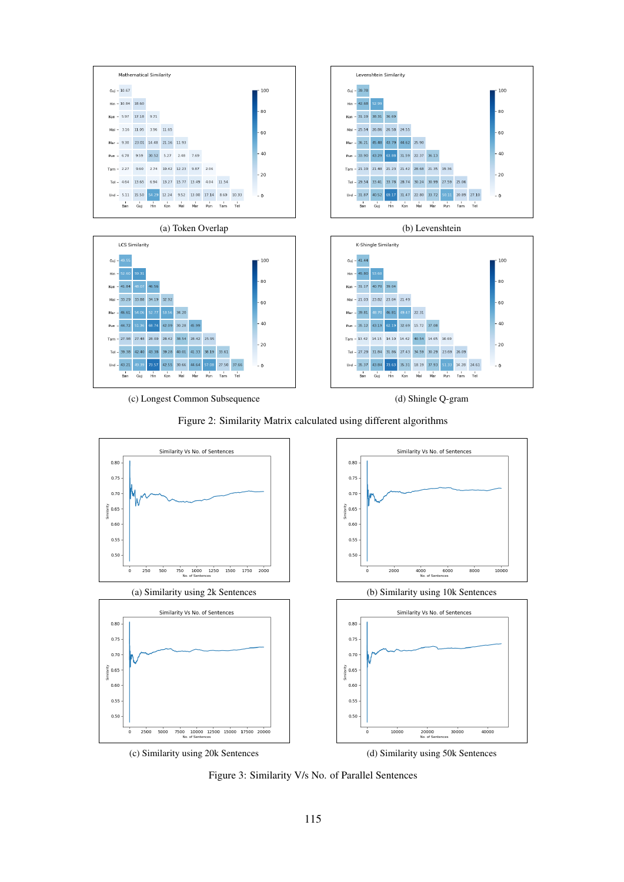







Figure 3: Similarity V/s No. of Parallel Sentences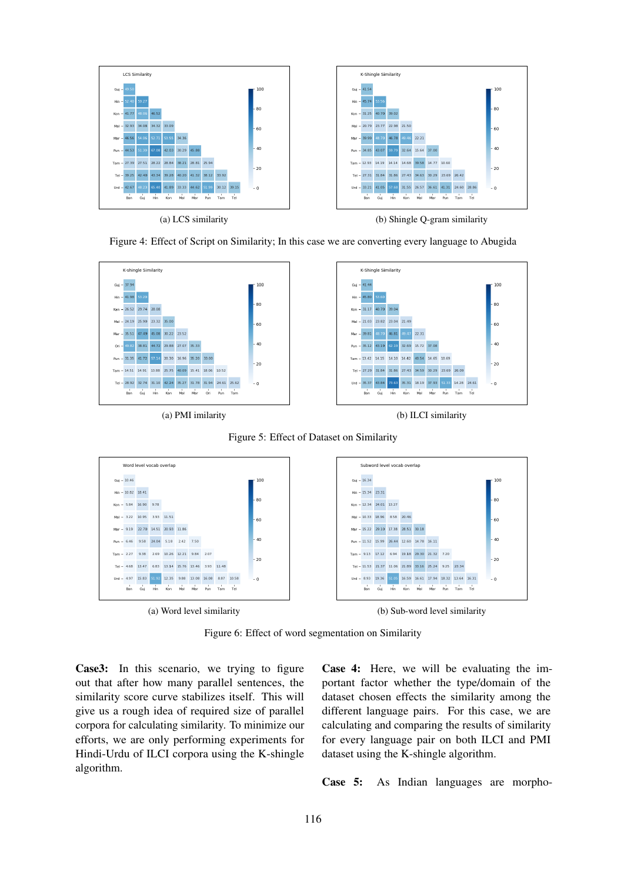

Figure 4: Effect of Script on Similarity; In this case we are converting every language to Abugida









Figure 6: Effect of word segmentation on Similarity

Case3: In this scenario, we trying to figure out that after how many parallel sentences, the similarity score curve stabilizes itself. This will give us a rough idea of required size of parallel corpora for calculating similarity. To minimize our efforts, we are only performing experiments for Hindi-Urdu of ILCI corpora using the K-shingle algorithm.

Case 4: Here, we will be evaluating the important factor whether the type/domain of the dataset chosen effects the similarity among the different language pairs. For this case, we are calculating and comparing the results of similarity for every language pair on both ILCI and PMI dataset using the K-shingle algorithm.

Case 5: As Indian languages are morpho-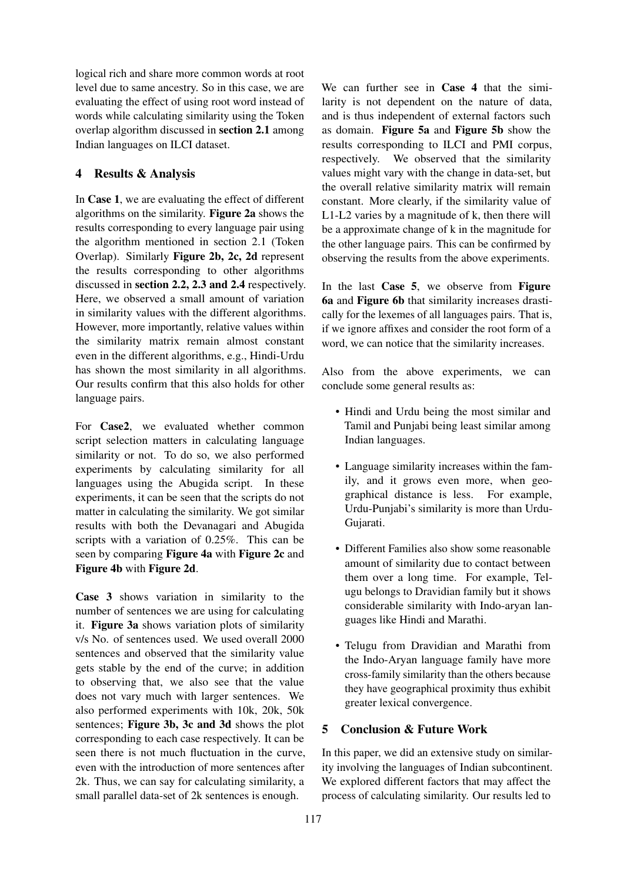logical rich and share more common words at root level due to same ancestry. So in this case, we are evaluating the effect of using root word instead of words while calculating similarity using the Token overlap algorithm discussed in section 2.1 among Indian languages on ILCI dataset.

# 4 Results & Analysis

In Case 1, we are evaluating the effect of different algorithms on the similarity. Figure 2a shows the results corresponding to every language pair using the algorithm mentioned in section 2.1 (Token Overlap). Similarly Figure 2b, 2c, 2d represent the results corresponding to other algorithms discussed in section 2.2, 2.3 and 2.4 respectively. Here, we observed a small amount of variation in similarity values with the different algorithms. However, more importantly, relative values within the similarity matrix remain almost constant even in the different algorithms, e.g., Hindi-Urdu has shown the most similarity in all algorithms. Our results confirm that this also holds for other language pairs.

For Case2, we evaluated whether common script selection matters in calculating language similarity or not. To do so, we also performed experiments by calculating similarity for all languages using the Abugida script. In these experiments, it can be seen that the scripts do not matter in calculating the similarity. We got similar results with both the Devanagari and Abugida scripts with a variation of 0.25%. This can be seen by comparing Figure 4a with Figure 2c and Figure 4b with Figure 2d.

Case 3 shows variation in similarity to the number of sentences we are using for calculating it. Figure 3a shows variation plots of similarity v/s No. of sentences used. We used overall 2000 sentences and observed that the similarity value gets stable by the end of the curve; in addition to observing that, we also see that the value does not vary much with larger sentences. We also performed experiments with 10k, 20k, 50k sentences; Figure 3b, 3c and 3d shows the plot corresponding to each case respectively. It can be seen there is not much fluctuation in the curve, even with the introduction of more sentences after 2k. Thus, we can say for calculating similarity, a small parallel data-set of 2k sentences is enough.

We can further see in **Case 4** that the similarity is not dependent on the nature of data, and is thus independent of external factors such as domain. Figure 5a and Figure 5b show the results corresponding to ILCI and PMI corpus, respectively. We observed that the similarity values might vary with the change in data-set, but the overall relative similarity matrix will remain constant. More clearly, if the similarity value of L1-L2 varies by a magnitude of k, then there will be a approximate change of k in the magnitude for the other language pairs. This can be confirmed by observing the results from the above experiments.

In the last Case 5, we observe from Figure 6a and Figure 6b that similarity increases drastically for the lexemes of all languages pairs. That is, if we ignore affixes and consider the root form of a word, we can notice that the similarity increases.

Also from the above experiments, we can conclude some general results as:

- Hindi and Urdu being the most similar and Tamil and Punjabi being least similar among Indian languages.
- Language similarity increases within the family, and it grows even more, when geographical distance is less. For example, Urdu-Punjabi's similarity is more than Urdu-Gujarati.
- Different Families also show some reasonable amount of similarity due to contact between them over a long time. For example, Telugu belongs to Dravidian family but it shows considerable similarity with Indo-aryan languages like Hindi and Marathi.
- Telugu from Dravidian and Marathi from the Indo-Aryan language family have more cross-family similarity than the others because they have geographical proximity thus exhibit greater lexical convergence.

# 5 Conclusion & Future Work

In this paper, we did an extensive study on similarity involving the languages of Indian subcontinent. We explored different factors that may affect the process of calculating similarity. Our results led to